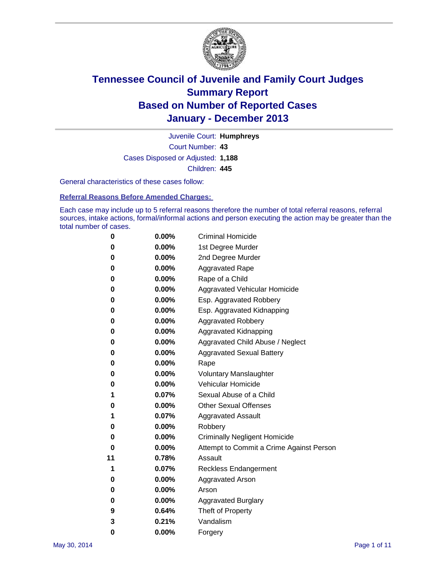

Court Number: **43** Juvenile Court: **Humphreys** Cases Disposed or Adjusted: **1,188** Children: **445**

General characteristics of these cases follow:

**Referral Reasons Before Amended Charges:** 

Each case may include up to 5 referral reasons therefore the number of total referral reasons, referral sources, intake actions, formal/informal actions and person executing the action may be greater than the total number of cases.

| 0  | $0.00\%$ | <b>Criminal Homicide</b>                 |  |  |  |  |
|----|----------|------------------------------------------|--|--|--|--|
| 0  | 0.00%    | 1st Degree Murder                        |  |  |  |  |
| 0  | 0.00%    | 2nd Degree Murder                        |  |  |  |  |
| 0  | $0.00\%$ | <b>Aggravated Rape</b>                   |  |  |  |  |
| 0  | 0.00%    | Rape of a Child                          |  |  |  |  |
| 0  | 0.00%    | Aggravated Vehicular Homicide            |  |  |  |  |
| 0  | 0.00%    | Esp. Aggravated Robbery                  |  |  |  |  |
| 0  | 0.00%    | Esp. Aggravated Kidnapping               |  |  |  |  |
| 0  | 0.00%    | <b>Aggravated Robbery</b>                |  |  |  |  |
| 0  | 0.00%    | Aggravated Kidnapping                    |  |  |  |  |
| 0  | 0.00%    | Aggravated Child Abuse / Neglect         |  |  |  |  |
| 0  | 0.00%    | <b>Aggravated Sexual Battery</b>         |  |  |  |  |
| 0  | 0.00%    | Rape                                     |  |  |  |  |
| 0  | 0.00%    | <b>Voluntary Manslaughter</b>            |  |  |  |  |
| 0  | 0.00%    | Vehicular Homicide                       |  |  |  |  |
| 1  | 0.07%    | Sexual Abuse of a Child                  |  |  |  |  |
| 0  | 0.00%    | <b>Other Sexual Offenses</b>             |  |  |  |  |
| 1  | 0.07%    | <b>Aggravated Assault</b>                |  |  |  |  |
| 0  | 0.00%    | Robbery                                  |  |  |  |  |
| 0  | 0.00%    | <b>Criminally Negligent Homicide</b>     |  |  |  |  |
| 0  | $0.00\%$ | Attempt to Commit a Crime Against Person |  |  |  |  |
| 11 | 0.78%    | Assault                                  |  |  |  |  |
| 1  | 0.07%    | Reckless Endangerment                    |  |  |  |  |
| 0  | 0.00%    | <b>Aggravated Arson</b>                  |  |  |  |  |
| 0  | 0.00%    | Arson                                    |  |  |  |  |
| 0  | 0.00%    | <b>Aggravated Burglary</b>               |  |  |  |  |
| 9  | 0.64%    | Theft of Property                        |  |  |  |  |
| 3  | 0.21%    | Vandalism                                |  |  |  |  |
| 0  | 0.00%    | Forgery                                  |  |  |  |  |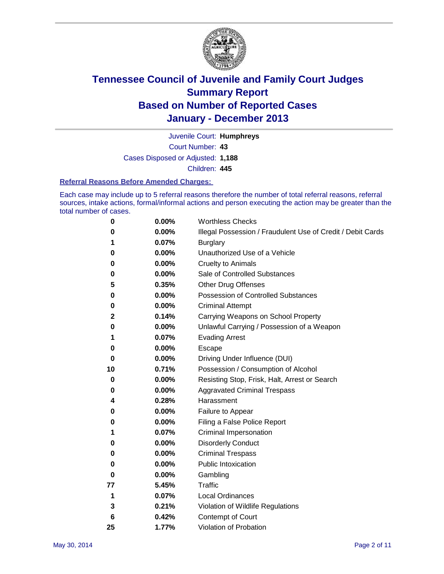

Court Number: **43** Juvenile Court: **Humphreys** Cases Disposed or Adjusted: **1,188** Children: **445**

#### **Referral Reasons Before Amended Charges:**

Each case may include up to 5 referral reasons therefore the number of total referral reasons, referral sources, intake actions, formal/informal actions and person executing the action may be greater than the total number of cases.

| 0  | 0.00% | <b>Worthless Checks</b>                                     |
|----|-------|-------------------------------------------------------------|
| 0  | 0.00% | Illegal Possession / Fraudulent Use of Credit / Debit Cards |
| 1  | 0.07% | <b>Burglary</b>                                             |
| 0  | 0.00% | Unauthorized Use of a Vehicle                               |
| 0  | 0.00% | <b>Cruelty to Animals</b>                                   |
| 0  | 0.00% | Sale of Controlled Substances                               |
| 5  | 0.35% | <b>Other Drug Offenses</b>                                  |
| 0  | 0.00% | Possession of Controlled Substances                         |
| 0  | 0.00% | <b>Criminal Attempt</b>                                     |
| 2  | 0.14% | Carrying Weapons on School Property                         |
| 0  | 0.00% | Unlawful Carrying / Possession of a Weapon                  |
| 1  | 0.07% | <b>Evading Arrest</b>                                       |
| 0  | 0.00% | Escape                                                      |
| 0  | 0.00% | Driving Under Influence (DUI)                               |
| 10 | 0.71% | Possession / Consumption of Alcohol                         |
| 0  | 0.00% | Resisting Stop, Frisk, Halt, Arrest or Search               |
| 0  | 0.00% | <b>Aggravated Criminal Trespass</b>                         |
| 4  | 0.28% | Harassment                                                  |
| 0  | 0.00% | Failure to Appear                                           |
| 0  | 0.00% | Filing a False Police Report                                |
| 1  | 0.07% | Criminal Impersonation                                      |
| 0  | 0.00% | <b>Disorderly Conduct</b>                                   |
| 0  | 0.00% | <b>Criminal Trespass</b>                                    |
| 0  | 0.00% | <b>Public Intoxication</b>                                  |
| 0  | 0.00% | Gambling                                                    |
| 77 | 5.45% | Traffic                                                     |
| 1  | 0.07% | Local Ordinances                                            |
| 3  | 0.21% | Violation of Wildlife Regulations                           |
| 6  | 0.42% | Contempt of Court                                           |
| 25 | 1.77% | Violation of Probation                                      |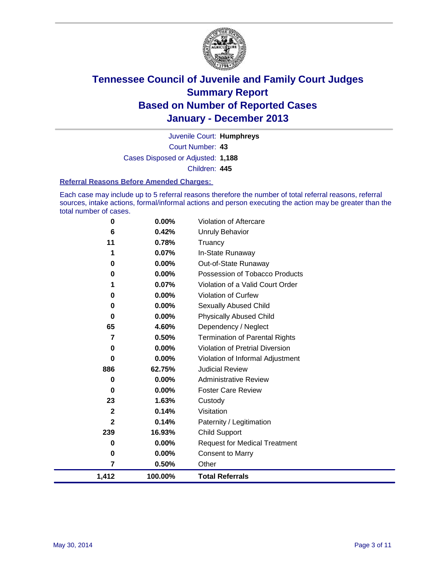

Court Number: **43** Juvenile Court: **Humphreys** Cases Disposed or Adjusted: **1,188** Children: **445**

#### **Referral Reasons Before Amended Charges:**

Each case may include up to 5 referral reasons therefore the number of total referral reasons, referral sources, intake actions, formal/informal actions and person executing the action may be greater than the total number of cases.

| 1,412        | 100.00% | <b>Total Referrals</b>                 |
|--------------|---------|----------------------------------------|
| 7            | 0.50%   | Other                                  |
| 0            | 0.00%   | <b>Consent to Marry</b>                |
| 0            | 0.00%   | <b>Request for Medical Treatment</b>   |
| 239          | 16.93%  | Child Support                          |
| $\mathbf{2}$ | 0.14%   | Paternity / Legitimation               |
| $\mathbf{2}$ | 0.14%   | Visitation                             |
| 23           | 1.63%   | Custody                                |
| 0            | 0.00%   | <b>Foster Care Review</b>              |
| 0            | 0.00%   | <b>Administrative Review</b>           |
| 886          | 62.75%  | <b>Judicial Review</b>                 |
| $\bf{0}$     | 0.00%   | Violation of Informal Adjustment       |
| 0            | 0.00%   | <b>Violation of Pretrial Diversion</b> |
| 7            | 0.50%   | <b>Termination of Parental Rights</b>  |
| 65           | 4.60%   | Dependency / Neglect                   |
| 0            | 0.00%   | <b>Physically Abused Child</b>         |
| 0            | 0.00%   | Sexually Abused Child                  |
| 0            | 0.00%   | Violation of Curfew                    |
|              | 0.07%   | Violation of a Valid Court Order       |
| $\bf{0}$     | 0.00%   | Possession of Tobacco Products         |
| 0            | 0.00%   | Out-of-State Runaway                   |
|              | 0.07%   | In-State Runaway                       |
| 11           | 0.78%   | <b>Unruly Behavior</b><br>Truancy      |
| 6            | 0.42%   |                                        |
| 0            | 0.00%   | Violation of Aftercare                 |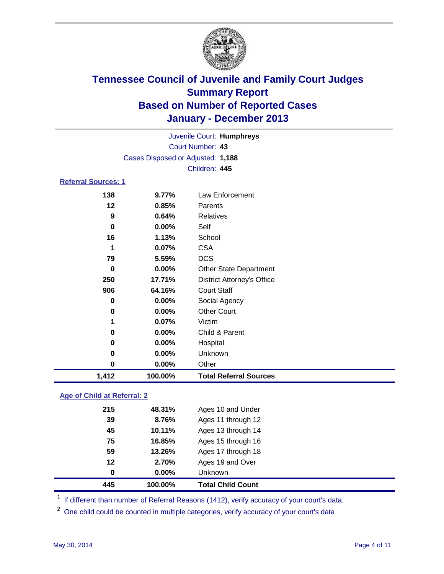

| Juvenile Court: Humphreys  |                                   |                                   |  |  |  |
|----------------------------|-----------------------------------|-----------------------------------|--|--|--|
| Court Number: 43           |                                   |                                   |  |  |  |
|                            | Cases Disposed or Adjusted: 1,188 |                                   |  |  |  |
|                            |                                   | Children: 445                     |  |  |  |
| <b>Referral Sources: 1</b> |                                   |                                   |  |  |  |
| 138                        | 9.77%                             | Law Enforcement                   |  |  |  |
| $12 \,$                    | 0.85%                             | Parents                           |  |  |  |
| 9                          | 0.64%                             | <b>Relatives</b>                  |  |  |  |
| 0                          | 0.00%                             | Self                              |  |  |  |
| 16                         | 1.13%                             | School                            |  |  |  |
| 1                          | 0.07%                             | <b>CSA</b>                        |  |  |  |
| 79                         | 5.59%                             | <b>DCS</b>                        |  |  |  |
| 0                          | 0.00%                             | <b>Other State Department</b>     |  |  |  |
| 250                        | 17.71%                            | <b>District Attorney's Office</b> |  |  |  |
| 906                        | 64.16%                            | <b>Court Staff</b>                |  |  |  |
| 0                          | 0.00%                             | Social Agency                     |  |  |  |
| 0                          | 0.00%                             | <b>Other Court</b>                |  |  |  |
| 1                          | $0.07\%$                          | Victim                            |  |  |  |
| 0                          | 0.00%                             | Child & Parent                    |  |  |  |
| 0                          | 0.00%                             | Hospital                          |  |  |  |
| 0                          | 0.00%                             | Unknown                           |  |  |  |
| 0                          | 0.00%                             | Other                             |  |  |  |

#### **Age of Child at Referral: 2**

|     |        | <b>Unknown</b>     |
|-----|--------|--------------------|
| 12  | 2.70%  | Ages 19 and Over   |
| 59  | 13.26% | Ages 17 through 18 |
| 75  | 16.85% | Ages 15 through 16 |
| 45  | 10.11% | Ages 13 through 14 |
| 39  | 8.76%  | Ages 11 through 12 |
| 215 | 48.31% | Ages 10 and Under  |
|     |        | 0.00%<br>0         |

<sup>1</sup> If different than number of Referral Reasons (1412), verify accuracy of your court's data.

<sup>2</sup> One child could be counted in multiple categories, verify accuracy of your court's data

**1,412 100.00% Total Referral Sources**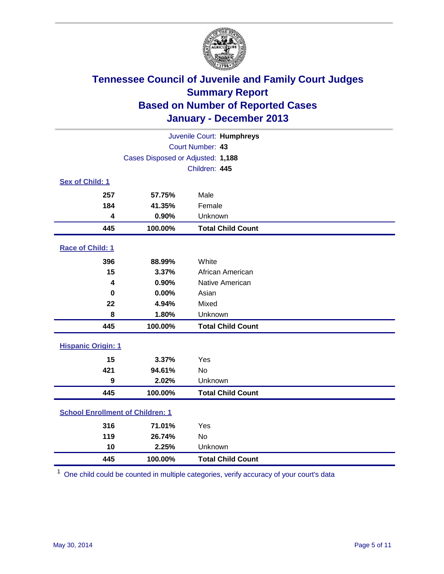

| Juvenile Court: Humphreys               |                                   |                          |  |  |
|-----------------------------------------|-----------------------------------|--------------------------|--|--|
|                                         | Court Number: 43                  |                          |  |  |
|                                         | Cases Disposed or Adjusted: 1,188 |                          |  |  |
|                                         |                                   | Children: 445            |  |  |
| Sex of Child: 1                         |                                   |                          |  |  |
| 257                                     | 57.75%                            | Male                     |  |  |
| 184                                     | 41.35%                            | Female                   |  |  |
| 4                                       | 0.90%                             | Unknown                  |  |  |
| 445                                     | 100.00%                           | <b>Total Child Count</b> |  |  |
| Race of Child: 1                        |                                   |                          |  |  |
| 396                                     | 88.99%                            | White                    |  |  |
| 15                                      | 3.37%                             | African American         |  |  |
| 4                                       | 0.90%                             | Native American          |  |  |
| 0                                       | 0.00%                             | Asian                    |  |  |
| 22                                      | 4.94%                             | Mixed                    |  |  |
| 8                                       | 1.80%                             | Unknown                  |  |  |
| 445                                     | 100.00%                           | <b>Total Child Count</b> |  |  |
| <b>Hispanic Origin: 1</b>               |                                   |                          |  |  |
| 15                                      | 3.37%                             | Yes                      |  |  |
| 421                                     | 94.61%                            | <b>No</b>                |  |  |
| 9                                       | 2.02%                             | Unknown                  |  |  |
| 445                                     | 100.00%                           | <b>Total Child Count</b> |  |  |
| <b>School Enrollment of Children: 1</b> |                                   |                          |  |  |
| 316                                     | 71.01%                            | Yes                      |  |  |
| 119                                     | 26.74%                            | <b>No</b>                |  |  |
| 10                                      | 2.25%                             | Unknown                  |  |  |
| 445                                     | 100.00%                           | <b>Total Child Count</b> |  |  |

One child could be counted in multiple categories, verify accuracy of your court's data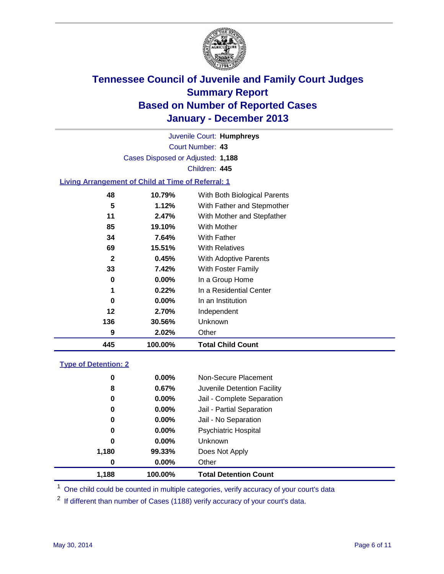

Court Number: **43** Juvenile Court: **Humphreys** Cases Disposed or Adjusted: **1,188** Children: **445**

### **Living Arrangement of Child at Time of Referral: 1**

| 445          | 100.00%  | <b>Total Child Count</b>     |
|--------------|----------|------------------------------|
| 9            | 2.02%    | Other                        |
| 136          | 30.56%   | Unknown                      |
| 12           | 2.70%    | Independent                  |
| 0            | $0.00\%$ | In an Institution            |
| 1            | 0.22%    | In a Residential Center      |
| 0            | 0.00%    | In a Group Home              |
| 33           | 7.42%    | With Foster Family           |
| $\mathbf{2}$ | 0.45%    | <b>With Adoptive Parents</b> |
| 69           | 15.51%   | <b>With Relatives</b>        |
| 34           | 7.64%    | With Father                  |
| 85           | 19.10%   | With Mother                  |
| 11           | 2.47%    | With Mother and Stepfather   |
| 5            | 1.12%    | With Father and Stepmother   |
| 48           | 10.79%   | With Both Biological Parents |
|              |          |                              |

#### **Type of Detention: 2**

| 1,188 | 100.00%  | <b>Total Detention Count</b> |  |
|-------|----------|------------------------------|--|
| 0     | 0.00%    | Other                        |  |
| 1,180 | 99.33%   | Does Not Apply               |  |
| 0     | $0.00\%$ | <b>Unknown</b>               |  |
| 0     | $0.00\%$ | <b>Psychiatric Hospital</b>  |  |
| 0     | 0.00%    | Jail - No Separation         |  |
| 0     | 0.00%    | Jail - Partial Separation    |  |
| 0     | 0.00%    | Jail - Complete Separation   |  |
| 8     | 0.67%    | Juvenile Detention Facility  |  |
| 0     | 0.00%    | Non-Secure Placement         |  |
|       |          |                              |  |

<sup>1</sup> One child could be counted in multiple categories, verify accuracy of your court's data

<sup>2</sup> If different than number of Cases (1188) verify accuracy of your court's data.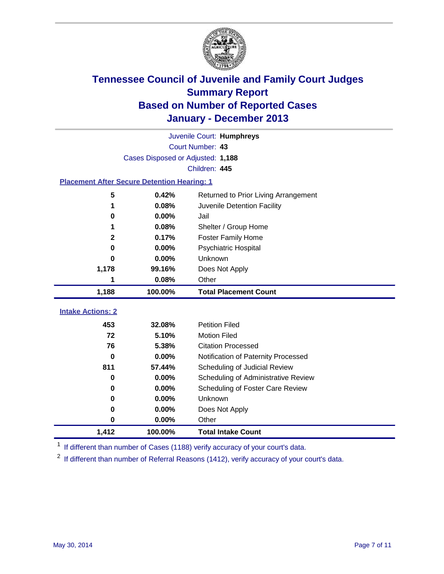

|                                                    | Juvenile Court: Humphreys         |                                      |  |  |  |  |
|----------------------------------------------------|-----------------------------------|--------------------------------------|--|--|--|--|
|                                                    | Court Number: 43                  |                                      |  |  |  |  |
|                                                    | Cases Disposed or Adjusted: 1,188 |                                      |  |  |  |  |
|                                                    | Children: 445                     |                                      |  |  |  |  |
| <b>Placement After Secure Detention Hearing: 1</b> |                                   |                                      |  |  |  |  |
| 5                                                  | 0.42%                             | Returned to Prior Living Arrangement |  |  |  |  |
| 1                                                  | 0.08%                             | Juvenile Detention Facility          |  |  |  |  |
| 0                                                  | 0.00%                             | Jail                                 |  |  |  |  |
| 1                                                  | 0.08%                             | Shelter / Group Home                 |  |  |  |  |
| $\mathbf{2}$                                       | 0.17%                             | <b>Foster Family Home</b>            |  |  |  |  |
| 0                                                  | 0.00%                             | <b>Psychiatric Hospital</b>          |  |  |  |  |
| 0                                                  | 0.00%                             | Unknown                              |  |  |  |  |
| 1,178                                              | 99.16%                            | Does Not Apply                       |  |  |  |  |
| 1                                                  | 0.08%                             | Other                                |  |  |  |  |
| 1,188                                              | 100.00%                           | <b>Total Placement Count</b>         |  |  |  |  |
|                                                    |                                   |                                      |  |  |  |  |
| <b>Intake Actions: 2</b>                           |                                   |                                      |  |  |  |  |
| 453                                                | 32.08%                            | <b>Petition Filed</b>                |  |  |  |  |
| 72                                                 | 5.10%                             | <b>Motion Filed</b>                  |  |  |  |  |
| 76                                                 | 5.38%                             | <b>Citation Processed</b>            |  |  |  |  |
| 0                                                  | 0.00%                             | Notification of Paternity Processed  |  |  |  |  |
| 811                                                | 57.44%                            | Scheduling of Judicial Review        |  |  |  |  |
| 0                                                  | 0.00%                             | Scheduling of Administrative Review  |  |  |  |  |
| 0                                                  | 0.00%                             | Scheduling of Foster Care Review     |  |  |  |  |
| 0                                                  | 0.00%                             | Unknown                              |  |  |  |  |
| 0                                                  | 0.00%                             | Does Not Apply                       |  |  |  |  |
| 0                                                  | 0.00%                             | Other                                |  |  |  |  |
| 1,412                                              | 100.00%                           | <b>Total Intake Count</b>            |  |  |  |  |

<sup>1</sup> If different than number of Cases (1188) verify accuracy of your court's data.

 $2$  If different than number of Referral Reasons (1412), verify accuracy of your court's data.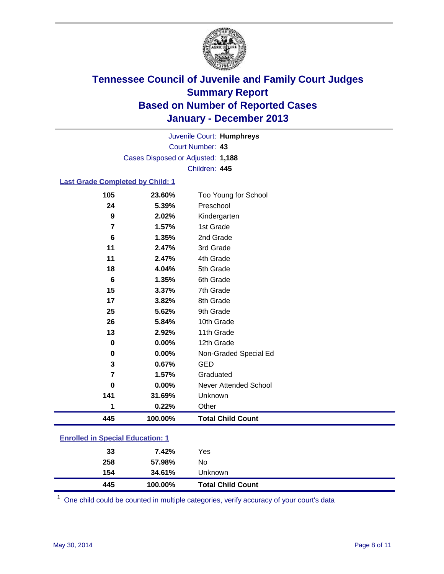

Court Number: **43** Juvenile Court: **Humphreys** Cases Disposed or Adjusted: **1,188** Children: **445**

#### **Last Grade Completed by Child: 1**

| 105             | 23.60%  | Too Young for School         |
|-----------------|---------|------------------------------|
| 24              | 5.39%   | Preschool                    |
| 9               | 2.02%   | Kindergarten                 |
| 7               | 1.57%   | 1st Grade                    |
| $6\phantom{1}6$ | 1.35%   | 2nd Grade                    |
| 11              | 2.47%   | 3rd Grade                    |
| 11              | 2.47%   | 4th Grade                    |
| 18              | 4.04%   | 5th Grade                    |
| 6               | 1.35%   | 6th Grade                    |
| 15              | 3.37%   | 7th Grade                    |
| 17              | 3.82%   | 8th Grade                    |
| 25              | 5.62%   | 9th Grade                    |
| 26              | 5.84%   | 10th Grade                   |
| 13              | 2.92%   | 11th Grade                   |
| 0               | 0.00%   | 12th Grade                   |
| 0               | 0.00%   | Non-Graded Special Ed        |
| 3               | 0.67%   | <b>GED</b>                   |
| 7               | 1.57%   | Graduated                    |
| $\bf{0}$        | 0.00%   | <b>Never Attended School</b> |
| 141             | 31.69%  | Unknown                      |
| 1               | 0.22%   | Other                        |
| 445             | 100.00% | <b>Total Child Count</b>     |

### **Enrolled in Special Education: 1**

| 445 | 100.00% | <b>Total Child Count</b> |
|-----|---------|--------------------------|
| 154 | 34.61%  | <b>Unknown</b>           |
| 258 | 57.98%  | No                       |
| 33  | 7.42%   | Yes                      |
|     |         |                          |

One child could be counted in multiple categories, verify accuracy of your court's data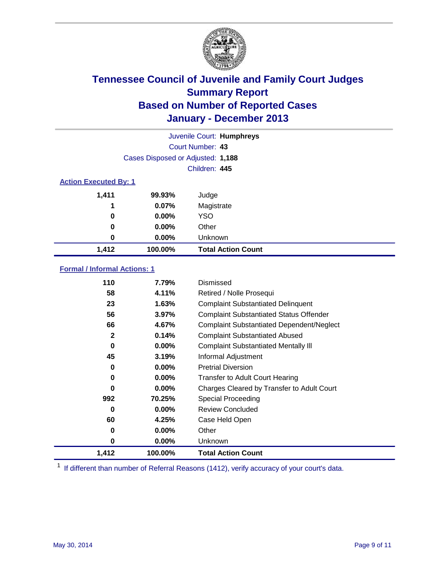

|                              | Juvenile Court: Humphreys         |                           |  |  |  |
|------------------------------|-----------------------------------|---------------------------|--|--|--|
|                              | Court Number: 43                  |                           |  |  |  |
|                              | Cases Disposed or Adjusted: 1,188 |                           |  |  |  |
|                              | Children: 445                     |                           |  |  |  |
| <b>Action Executed By: 1</b> |                                   |                           |  |  |  |
| 1,411                        | 99.93%                            | Judge                     |  |  |  |
| 1                            | 0.07%                             | Magistrate                |  |  |  |
| 0                            | $0.00\%$                          | <b>YSO</b>                |  |  |  |
| 0                            | $0.00\%$                          | Other                     |  |  |  |
| 0                            | $0.00\%$                          | Unknown                   |  |  |  |
| 1,412                        | 100.00%                           | <b>Total Action Count</b> |  |  |  |

### **Formal / Informal Actions: 1**

| 110              | 7.79%    | Dismissed                                        |
|------------------|----------|--------------------------------------------------|
| 58               | 4.11%    | Retired / Nolle Prosequi                         |
| 23               | 1.63%    | <b>Complaint Substantiated Delinquent</b>        |
| 56               | 3.97%    | <b>Complaint Substantiated Status Offender</b>   |
| 66               | 4.67%    | <b>Complaint Substantiated Dependent/Neglect</b> |
| $\boldsymbol{2}$ | 0.14%    | <b>Complaint Substantiated Abused</b>            |
| 0                | $0.00\%$ | <b>Complaint Substantiated Mentally III</b>      |
| 45               | 3.19%    | Informal Adjustment                              |
| 0                | $0.00\%$ | <b>Pretrial Diversion</b>                        |
| 0                | $0.00\%$ | <b>Transfer to Adult Court Hearing</b>           |
| 0                | $0.00\%$ | Charges Cleared by Transfer to Adult Court       |
| 992              | 70.25%   | Special Proceeding                               |
| 0                | $0.00\%$ | <b>Review Concluded</b>                          |
| 60               | 4.25%    | Case Held Open                                   |
| 0                | 0.00%    | Other                                            |
| 0                | $0.00\%$ | Unknown                                          |
| 1,412            | 100.00%  | <b>Total Action Count</b>                        |

<sup>1</sup> If different than number of Referral Reasons (1412), verify accuracy of your court's data.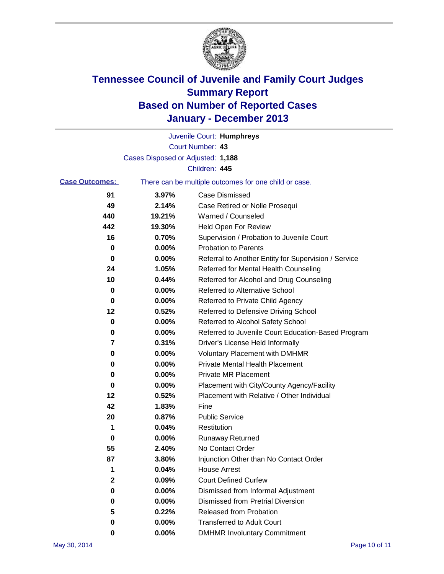

|                       |                                   | Juvenile Court: Humphreys                             |
|-----------------------|-----------------------------------|-------------------------------------------------------|
|                       |                                   | Court Number: 43                                      |
|                       | Cases Disposed or Adjusted: 1,188 |                                                       |
|                       |                                   | Children: 445                                         |
| <b>Case Outcomes:</b> |                                   | There can be multiple outcomes for one child or case. |
| 91                    | 3.97%                             | Case Dismissed                                        |
| 49                    | 2.14%                             | Case Retired or Nolle Prosequi                        |
| 440                   | 19.21%                            | Warned / Counseled                                    |
| 442                   | 19.30%                            | Held Open For Review                                  |
| 16                    | 0.70%                             | Supervision / Probation to Juvenile Court             |
| 0                     | 0.00%                             | <b>Probation to Parents</b>                           |
| 0                     | 0.00%                             | Referral to Another Entity for Supervision / Service  |
| 24                    | 1.05%                             | Referred for Mental Health Counseling                 |
| 10                    | 0.44%                             | Referred for Alcohol and Drug Counseling              |
| 0                     | 0.00%                             | Referred to Alternative School                        |
| 0                     | 0.00%                             | Referred to Private Child Agency                      |
| 12                    | 0.52%                             | Referred to Defensive Driving School                  |
| 0                     | 0.00%                             | Referred to Alcohol Safety School                     |
| 0                     | 0.00%                             | Referred to Juvenile Court Education-Based Program    |
| 7                     | 0.31%                             | Driver's License Held Informally                      |
| 0                     | 0.00%                             | <b>Voluntary Placement with DMHMR</b>                 |
| 0                     | 0.00%                             | <b>Private Mental Health Placement</b>                |
| 0                     | 0.00%                             | <b>Private MR Placement</b>                           |
| 0                     | 0.00%                             | Placement with City/County Agency/Facility            |
| 12                    | 0.52%                             | Placement with Relative / Other Individual            |
| 42                    | 1.83%                             | Fine                                                  |
| 20                    | 0.87%                             | <b>Public Service</b>                                 |
| 1                     | 0.04%                             | Restitution                                           |
| 0                     | 0.00%                             | <b>Runaway Returned</b>                               |
| 55                    | 2.40%                             | No Contact Order                                      |
| 87                    | 3.80%                             | Injunction Other than No Contact Order                |
| 1                     | 0.04%                             | <b>House Arrest</b>                                   |
| $\mathbf 2$           | 0.09%                             | <b>Court Defined Curfew</b>                           |
| 0                     | 0.00%                             | Dismissed from Informal Adjustment                    |
| 0                     | 0.00%                             | <b>Dismissed from Pretrial Diversion</b>              |
| 5                     | 0.22%                             | Released from Probation                               |
| 0                     | 0.00%                             | <b>Transferred to Adult Court</b>                     |
| 0                     | 0.00%                             | <b>DMHMR Involuntary Commitment</b>                   |